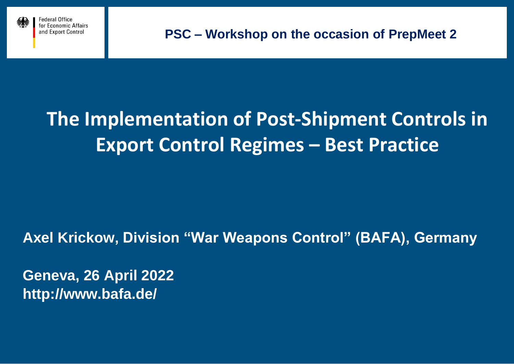



# **The Implementation of Post-Shipment Controls in Export Control Regimes – Best Practice**

**Axel Krickow, Division "War Weapons Control" (BAFA), Germany**

**Geneva, 26 April 2022 http://www.bafa.de/**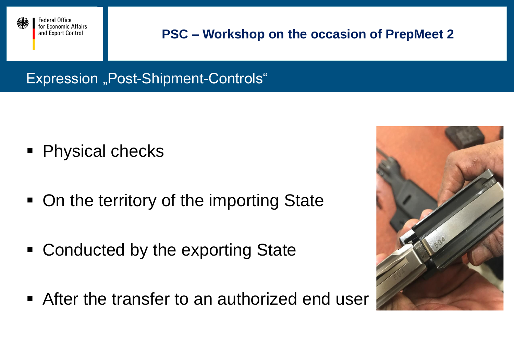

Expression "Post-Shipment-Controls"

- **Physical checks**
- On the territory of the importing State
- Conducted by the exporting State
- After the transfer to an authorized end user

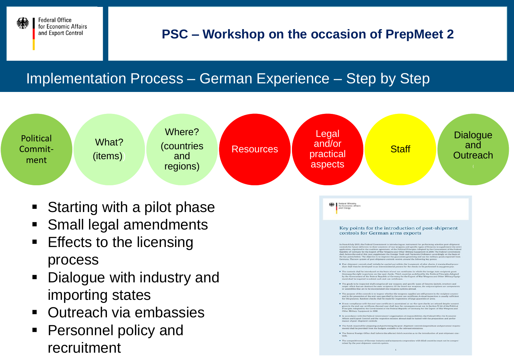

# Implementation Process – German Experience – Step by Step



- Starting with a pilot phase
- **Small legal amendments**
- **Effects to the licensing** process
- Dialogue with industry and importing states
- **Outreach via embassies**
- **Personnel policy and** recruitment

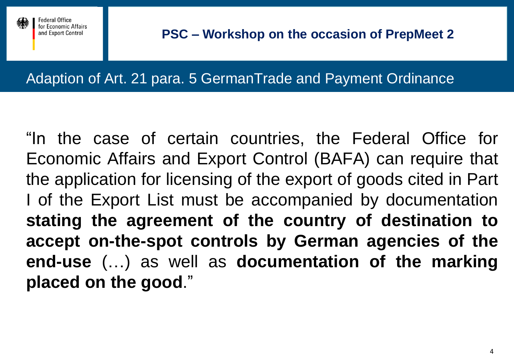

Federal Office or Economic Affairs and Export Control

Adaption of Art. 21 para. 5 GermanTrade and Payment Ordinance

"In the case of certain countries, the Federal Office for Economic Affairs and Export Control (BAFA) can require that the application for licensing of the export of goods cited in Part I of the Export List must be accompanied by documentation **stating the agreement of the country of destination to accept on-the-spot controls by German agencies of the end-use** (…) as well as **documentation of the marking placed on the good**."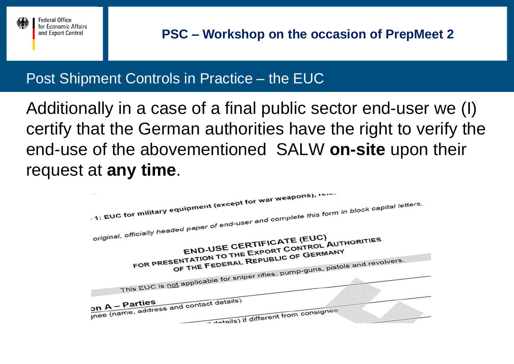

# Post Shipment Controls in Practice – the EUC

Additionally in a case of a final public sector end-user we (I) certify that the German authorities have the right to verify the end-use of the abovementioned SALW **on-site** upon their request at **any time**.